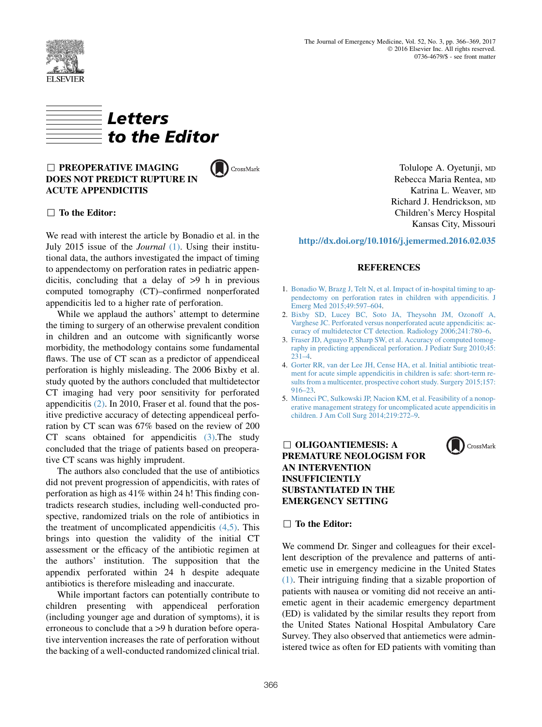



# $\Box$  PREOPERATIVE IMAGING DOES NOT PREDICT RUPTURE IN ACUTE APPENDICITIS

CrossMark

## $\Box$  To the Editor:

We read with interest the article by Bonadio et al. in the July 2015 issue of the Journal (1). Using their institutional data, the authors investigated the impact of timing to appendectomy on perforation rates in pediatric appendicitis, concluding that a delay of >9 h in previous computed tomography (CT)–confirmed nonperforated appendicitis led to a higher rate of perforation.

While we applaud the authors' attempt to determine the timing to surgery of an otherwise prevalent condition in children and an outcome with significantly worse morbidity, the methodology contains some fundamental flaws. The use of CT scan as a predictor of appendiceal perforation is highly misleading. The 2006 Bixby et al. study quoted by the authors concluded that multidetector CT imaging had very poor sensitivity for perforated appendicitis (2). In 2010, Fraser et al. found that the positive predictive accuracy of detecting appendiceal perforation by CT scan was 67% based on the review of 200 CT scans obtained for appendicitis (3).The study concluded that the triage of patients based on preoperative CT scans was highly imprudent.

The authors also concluded that the use of antibiotics did not prevent progression of appendicitis, with rates of perforation as high as 41% within 24 h! This finding contradicts research studies, including well-conducted prospective, randomized trials on the role of antibiotics in the treatment of uncomplicated appendicitis  $(4,5)$ . This brings into question the validity of the initial CT assessment or the efficacy of the antibiotic regimen at the authors' institution. The supposition that the appendix perforated within 24 h despite adequate antibiotics is therefore misleading and inaccurate.

While important factors can potentially contribute to children presenting with appendiceal perforation (including younger age and duration of symptoms), it is erroneous to conclude that a >9 h duration before operative intervention increases the rate of perforation without the backing of a well-conducted randomized clinical trial.

Tolulope A. Oyetunji, MD Rebecca Maria Rentea, MD Katrina L. Weaver, MD Richard J. Hendrickson, MD Children's Mercy Hospital Kansas City, Missouri

### <http://dx.doi.org/10.1016/j.jemermed.2016.02.035>

### **REFERENCES**

- 1. [Bonadio W, Brazg J, Telt N, et al. Impact of in-hospital timing to ap](http://refhub.elsevier.com/S0736-4679(16)31008-3/sref1)[pendectomy on perforation rates in children with appendicitis. J](http://refhub.elsevier.com/S0736-4679(16)31008-3/sref1) [Emerg Med 2015;49:597–604](http://refhub.elsevier.com/S0736-4679(16)31008-3/sref1).
- 2. [Bixby SD, Lucey BC, Soto JA, Theysohn JM, Ozonoff A,](http://refhub.elsevier.com/S0736-4679(16)31008-3/sref2) [Varghese JC. Perforated versus nonperforated acute appendicitis: ac](http://refhub.elsevier.com/S0736-4679(16)31008-3/sref2)[curacy of multidetector CT detection. Radiology 2006;241:780–6](http://refhub.elsevier.com/S0736-4679(16)31008-3/sref2).
- 3. [Fraser JD, Aguayo P, Sharp SW, et al. Accuracy of computed tomog](http://refhub.elsevier.com/S0736-4679(16)31008-3/sref3)[raphy in predicting appendiceal perforation. J Pediatr Surg 2010;45:](http://refhub.elsevier.com/S0736-4679(16)31008-3/sref3)  $231-4.$
- 4. [Gorter RR, van der Lee JH, Cense HA, et al. Initial antibiotic treat](http://refhub.elsevier.com/S0736-4679(16)31008-3/sref4)[ment for acute simple appendicitis in children is safe: short-term re](http://refhub.elsevier.com/S0736-4679(16)31008-3/sref4)[sults from a multicenter, prospective cohort study. Surgery 2015;157:](http://refhub.elsevier.com/S0736-4679(16)31008-3/sref4) [916–23.](http://refhub.elsevier.com/S0736-4679(16)31008-3/sref4)
- 5. [Minneci PC, Sulkowski JP, Nacion KM, et al. Feasibility of a nonop](http://refhub.elsevier.com/S0736-4679(16)31008-3/sref5)[erative management strategy for uncomplicated acute appendicitis in](http://refhub.elsevier.com/S0736-4679(16)31008-3/sref5) [children. J Am Coll Surg 2014;219:272–9](http://refhub.elsevier.com/S0736-4679(16)31008-3/sref5).

# $\Box$  OLIGOANTIEMESIS: A PREMATURE NEOLOGISM FOR AN INTERVENTION INSUFFICIENTLY SUBSTANTIATED IN THE EMERGENCY SETTING



# $\Box$  To the Editor:

We commend Dr. Singer and colleagues for their excellent description of the prevalence and patterns of antiemetic use in emergency medicine in the United States [\(1\).](#page-2-0) Their intriguing finding that a sizable proportion of patients with nausea or vomiting did not receive an antiemetic agent in their academic emergency department (ED) is validated by the similar results they report from the United States National Hospital Ambulatory Care Survey. They also observed that antiemetics were administered twice as often for ED patients with vomiting than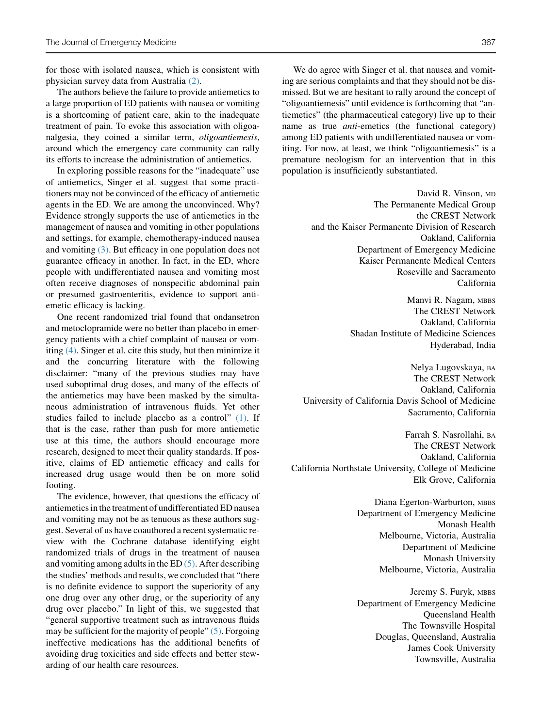for those with isolated nausea, which is consistent with physician survey data from Australia [\(2\)](#page-2-0).

The authors believe the failure to provide antiemetics to a large proportion of ED patients with nausea or vomiting is a shortcoming of patient care, akin to the inadequate treatment of pain. To evoke this association with oligoanalgesia, they coined a similar term, *oligoantiemesis*, around which the emergency care community can rally its efforts to increase the administration of antiemetics.

In exploring possible reasons for the "inadequate" use of antiemetics, Singer et al. suggest that some practitioners may not be convinced of the efficacy of antiemetic agents in the ED. We are among the unconvinced. Why? Evidence strongly supports the use of antiemetics in the management of nausea and vomiting in other populations and settings, for example, chemotherapy-induced nausea and vomiting [\(3\).](#page-2-0) But efficacy in one population does not guarantee efficacy in another. In fact, in the ED, where people with undifferentiated nausea and vomiting most often receive diagnoses of nonspecific abdominal pain or presumed gastroenteritis, evidence to support antiemetic efficacy is lacking.

One recent randomized trial found that ondansetron and metoclopramide were no better than placebo in emergency patients with a chief complaint of nausea or vomiting [\(4\)](#page-2-0). Singer et al. cite this study, but then minimize it and the concurring literature with the following disclaimer: "many of the previous studies may have used suboptimal drug doses, and many of the effects of the antiemetics may have been masked by the simultaneous administration of intravenous fluids. Yet other studies failed to include placebo as a control"  $(1)$ . If that is the case, rather than push for more antiemetic use at this time, the authors should encourage more research, designed to meet their quality standards. If positive, claims of ED antiemetic efficacy and calls for increased drug usage would then be on more solid footing.

The evidence, however, that questions the efficacy of antiemetics in the treatment of undifferentiated ED nausea and vomiting may not be as tenuous as these authors suggest. Several of us have coauthored a recent systematic review with the Cochrane database identifying eight randomized trials of drugs in the treatment of nausea and vomiting among adults in the ED [\(5\)](#page-2-0). After describing the studies' methods and results, we concluded that "there is no definite evidence to support the superiority of any one drug over any other drug, or the superiority of any drug over placebo." In light of this, we suggested that "general supportive treatment such as intravenous fluids may be sufficient for the majority of people" [\(5\)](#page-2-0). Forgoing ineffective medications has the additional benefits of avoiding drug toxicities and side effects and better stewarding of our health care resources.

We do agree with Singer et al. that nausea and vomiting are serious complaints and that they should not be dismissed. But we are hesitant to rally around the concept of "oligoantiemesis" until evidence is forthcoming that "antiemetics" (the pharmaceutical category) live up to their name as true *anti*-emetics (the functional category) among ED patients with undifferentiated nausea or vomiting. For now, at least, we think "oligoantiemesis" is a premature neologism for an intervention that in this population is insufficiently substantiated.

> David R. Vinson, MD The Permanente Medical Group the CREST Network and the Kaiser Permanente Division of Research Oakland, California Department of Emergency Medicine Kaiser Permanente Medical Centers Roseville and Sacramento California

> > Manvi R. Nagam, MBBS The CREST Network Oakland, California Shadan Institute of Medicine Sciences Hyderabad, India

Nelya Lugovskaya, BA The CREST Network Oakland, California University of California Davis School of Medicine Sacramento, California

Farrah S. Nasrollahi, BA The CREST Network Oakland, California California Northstate University, College of Medicine Elk Grove, California

> Diana Egerton-Warburton, MBBS Department of Emergency Medicine Monash Health Melbourne, Victoria, Australia Department of Medicine Monash University Melbourne, Victoria, Australia

> Jeremy S. Furyk, MBBS Department of Emergency Medicine Queensland Health The Townsville Hospital Douglas, Queensland, Australia James Cook University Townsville, Australia